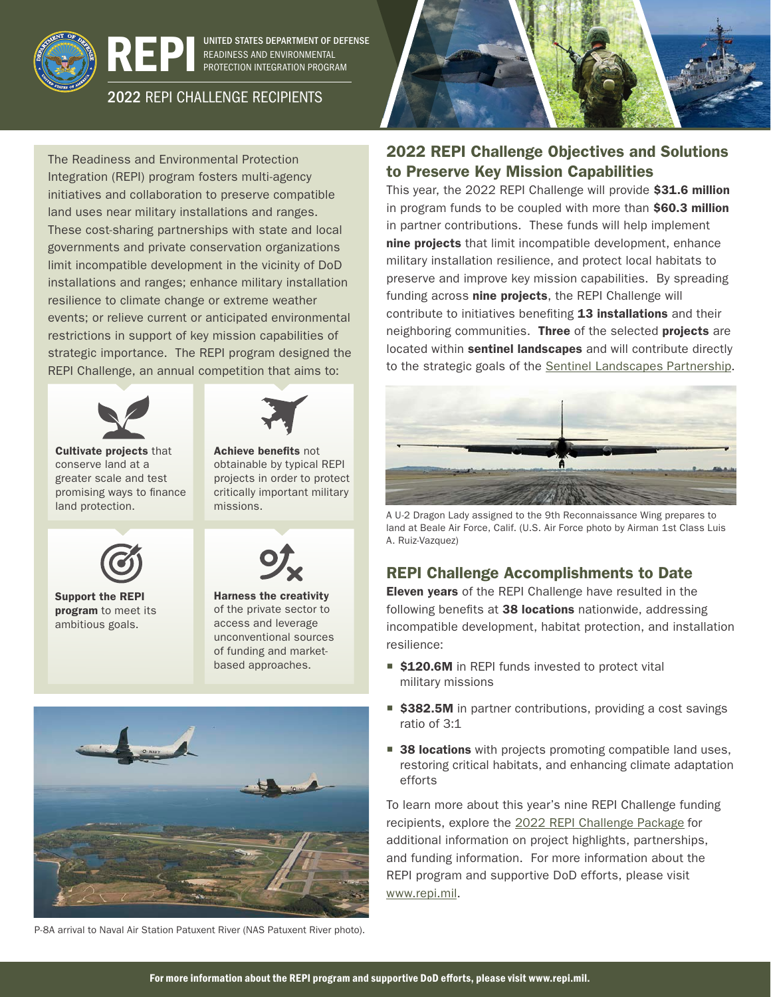

UNITED STATES DEPARTMENT OF DEFENSE READINESS AND ENVIRONMENTAL PROTECTION INTEGRATION PROGRAM

## 2022 REPI CHALLENGE RECIPIENTS

The Readiness and Environmental Protection Integration (REPI) program fosters multi-agency initiatives and collaboration to preserve compatible land uses near military installations and ranges. These cost-sharing partnerships with state and local governments and private conservation organizations limit incompatible development in the vicinity of DoD installations and ranges; enhance military installation resilience to climate change or extreme weather events; or relieve current or anticipated environmental restrictions in support of key mission capabilities of strategic importance. The REPI program designed the REPI Challenge, an annual competition that aims to:





Achieve benefits not

Cultivate projects that conserve land at a greater scale and test promising ways to finance land protection.



Support the REPI program to meet its ambitious goals.



Harness the creativity of the private sector to access and leverage unconventional sources of funding and marketbased approaches.



P-8A arrival to Naval Air Station Patuxent River (NAS Patuxent River photo).



## 2022 REPI Challenge Objectives and Solutions to Preserve Key Mission Capabilities

This year, the 2022 REPI Challenge will provide \$31.6 million in program funds to be coupled with more than \$60.3 million in partner contributions. These funds will help implement nine projects that limit incompatible development, enhance military installation resilience, and protect local habitats to preserve and improve key mission capabilities. By spreading funding across nine projects, the REPI Challenge will contribute to initiatives benefiting 13 installations and their neighboring communities. Three of the selected projects are located within sentinel landscapes and will contribute directly to the strategic goals of the [Sentinel Landscapes Partnership.](https://sentinellandscapes.org)



A U-2 Dragon Lady assigned to the 9th Reconnaissance Wing prepares to land at Beale Air Force, Calif. (U.S. Air Force photo by Airman 1st Class Luis A. Ruiz-Vazquez)

## REPI Challenge Accomplishments to Date

Eleven years of the REPI Challenge have resulted in the following benefits at 38 locations nationwide, addressing incompatible development, habitat protection, and installation resilience:

- **\$120.6M** in REPI funds invested to protect vital military missions
- \$382.5M in partner contributions, providing a cost savings ratio of 3:1
- 38 locations with projects promoting compatible land uses, restoring critical habitats, and enhancing climate adaptation efforts

To learn more about this year's nine REPI Challenge funding recipients, explore the [2022 REPI Challenge Package](https://www.repi.mil/Portals/44/Documents/Large_Landscapes/2022%20REPI%20Challenge%20Package_061522.pdf?ver=DxaJ-pqn-6BrhHT7fRZutA%3d%3d×tamp=1654093020238) for additional information on project highlights, partnerships, and funding information. For more information about the REPI program and supportive DoD efforts, please visit [www.repi.mil](http://www.repi.mil).